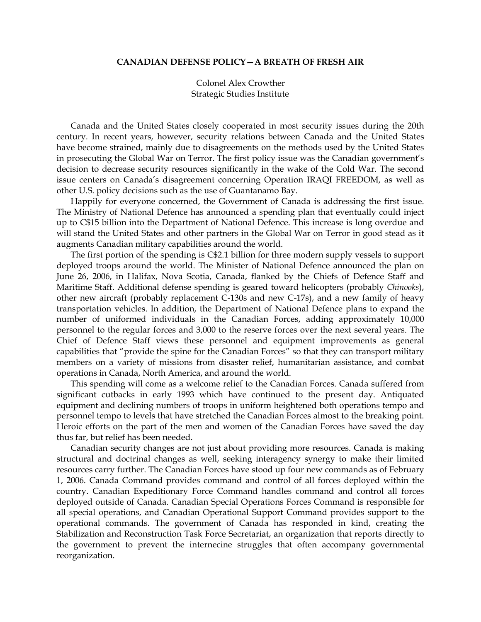## **CANADIAN DEFENSE POLICY—A BREATH OF FRESH AIR**

 Colonel Alex Crowther Strategic Studies Institute

 Canada and the United States closely cooperated in most security issues during the 20th century. In recent years, however, security relations between Canada and the United States have become strained, mainly due to disagreements on the methods used by the United States in prosecuting the Global War on Terror. The first policy issue was the Canadian government's decision to decrease security resources significantly in the wake of the Cold War. The second issue centers on Canada's disagreement concerning Operation IRAQI FREEDOM, as well as other U.S. policy decisions such as the use of Guantanamo Bay.

 Happily for everyone concerned, the Government of Canada is addressing the first issue. The Ministry of National Defence has announced a spending plan that eventually could inject up to C\$15 billion into the Department of National Defence. This increase is long overdue and will stand the United States and other partners in the Global War on Terror in good stead as it augments Canadian military capabilities around the world.

 The first portion of the spending is C\$2.1 billion for three modern supply vessels to support deployed troops around the world. The Minister of National Defence announced the plan on June 26, 2006, in Halifax, Nova Scotia, Canada, flanked by the Chiefs of Defence Staff and Maritime Staff. Additional defense spending is geared toward helicopters (probably *Chinooks*), other new aircraft (probably replacement C-130s and new C-17s), and a new family of heavy transportation vehicles. In addition, the Department of National Defence plans to expand the number of uniformed individuals in the Canadian Forces, adding approximately 10,000 personnel to the regular forces and 3,000 to the reserve forces over the next several years. The Chief of Defence Staff views these personnel and equipment improvements as general capabilities that "provide the spine for the Canadian Forces" so that they can transport military members on a variety of missions from disaster relief, humanitarian assistance, and combat operations in Canada, North America, and around the world.

 This spending will come as a welcome relief to the Canadian Forces. Canada suffered from significant cutbacks in early 1993 which have continued to the present day. Antiquated equipment and declining numbers of troops in uniform heightened both operations tempo and personnel tempo to levels that have stretched the Canadian Forces almost to the breaking point. Heroic efforts on the part of the men and women of the Canadian Forces have saved the day thus far, but relief has been needed.

 Canadian security changes are not just about providing more resources. Canada is making structural and doctrinal changes as well, seeking interagency synergy to make their limited resources carry further. The Canadian Forces have stood up four new commands as of February 1, 2006. Canada Command provides command and control of all forces deployed within the country. Canadian Expeditionary Force Command handles command and control all forces deployed outside of Canada. Canadian Special Operations Forces Command is responsible for all special operations, and Canadian Operational Support Command provides support to the operational commands. The government of Canada has responded in kind, creating the Stabilization and Reconstruction Task Force Secretariat, an organization that reports directly to the government to prevent the internecine struggles that often accompany governmental reorganization.